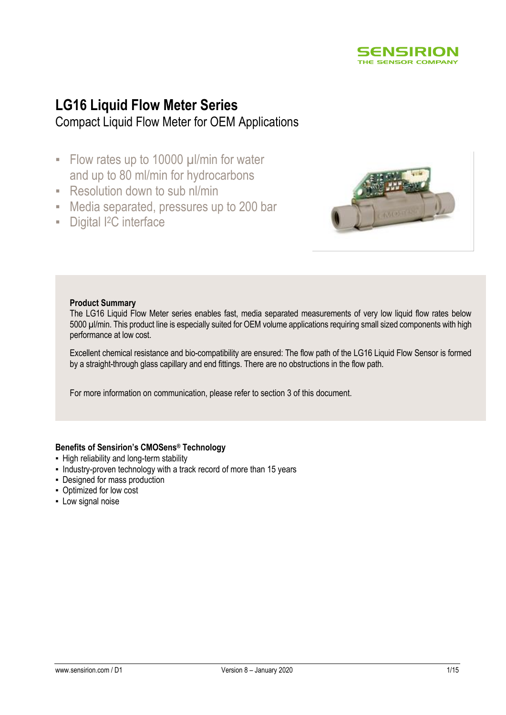

# **LG16 Liquid Flow Meter Series** Compact Liquid Flow Meter for OEM Applications

- **EXECUTE:** Flow rates up to 10000 µl/min for water and up to 80 ml/min for hydrocarbons
- Resolution down to sub nl/min
- Media separated, pressures up to 200 bar
- **•** Digital I<sup>2</sup>C interface



#### **Product Summary**

The LG16 Liquid Flow Meter series enables fast, media separated measurements of very low liquid flow rates below 5000 µl/min. This product line is especially suited for OEM volume applications requiring small sized components with high performance at low cost.

Excellent chemical resistance and bio-compatibility are ensured: The flow path of the LG16 Liquid Flow Sensor is formed by a straight-through glass capillary and end fittings. There are no obstructions in the flow path.

For more information on communication, please refer to section 3 of this document.

### **Benefits of Sensirion's CMOSens® Technology**

- **.** High reliability and long-term stability
- Industry-proven technology with a track record of more than 15 years
- Designed for mass production
- Optimized for low cost
- **-** Low signal noise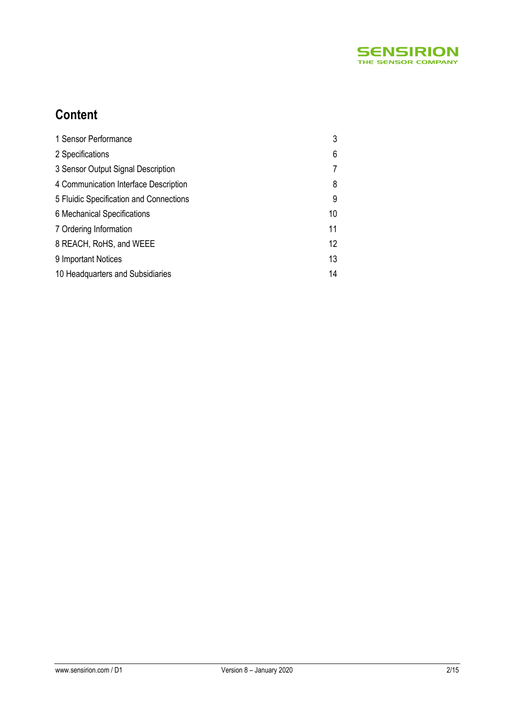

# **Content**

| 1 Sensor Performance                    | 3                 |
|-----------------------------------------|-------------------|
| 2 Specifications                        | 6                 |
| 3 Sensor Output Signal Description      |                   |
| 4 Communication Interface Description   | 8                 |
| 5 Fluidic Specification and Connections | 9                 |
| 6 Mechanical Specifications             | 10                |
| 7 Ordering Information                  | 11                |
| 8 REACH, RoHS, and WEEE                 | $12 \overline{ }$ |
| 9 Important Notices                     | 13                |
| 10 Headquarters and Subsidiaries        | 14                |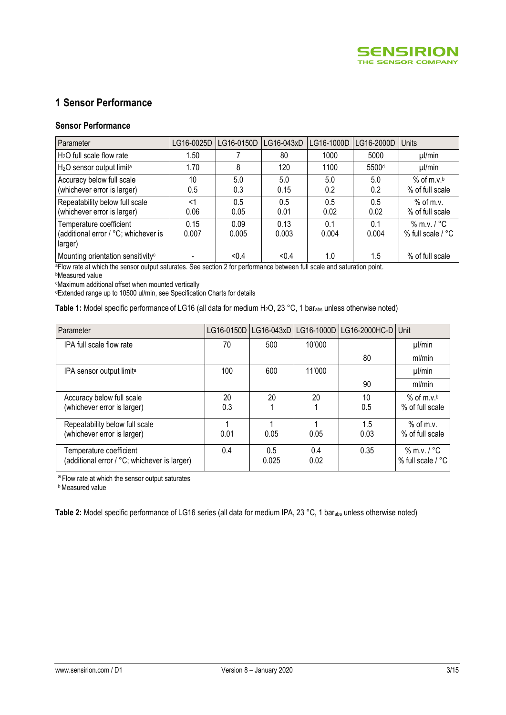

# **1 Sensor Performance**

#### **Sensor Performance**

| Parameter                                                                  | LG16-0025D    | LG16-0150D    | LG16-043xD    | LG16-1000D   | LG16-2000D        | <b>Units</b>                                |
|----------------------------------------------------------------------------|---------------|---------------|---------------|--------------|-------------------|---------------------------------------------|
| $H2O$ full scale flow rate                                                 | 1.50          |               | 80            | 1000         | 5000              | $\mu$ /min                                  |
| H <sub>2</sub> O sensor output limit <sup>a</sup>                          | 1.70          | 8             | 120           | 1100         | 5500 <sup>d</sup> | $\mu$ /min                                  |
| Accuracy below full scale<br>(whichever error is larger)                   | 10<br>0.5     | 5.0<br>0.3    | 5.0<br>0.15   | 5.0<br>0.2   | 5.0<br>0.2        | $%$ of m.v. <sup>b</sup><br>% of full scale |
| Repeatability below full scale<br>(whichever error is larger)              | ا><br>0.06    | 0.5<br>0.05   | 0.5<br>0.01   | 0.5<br>0.02  | 0.5<br>0.02       | $%$ of m.v.<br>% of full scale              |
| Temperature coefficient<br>(additional error / °C; whichever is<br>larger) | 0.15<br>0.007 | 0.09<br>0.005 | 0.13<br>0.003 | 0.1<br>0.004 | 0.1<br>0.004      | $%$ m.v. $/$ °C<br>% full scale $/$ °C      |
| Mounting orientation sensitivity <sup>c</sup>                              |               | < 0.4         | < 0.4         | 1.0          | 1.5               | % of full scale                             |

<sup>a</sup>Flow rate at which the sensor output saturates. See section 2 for performance between full scale and saturation point.

<sup>b</sup>Measured value

<sup>c</sup>Maximum additional offset when mounted vertically

<sup>d</sup>Extended range up to 10500 ul/min, see Specification Charts for details

Table 1: Model specific performance of LG16 (all data for medium H<sub>2</sub>O, 23 °C, 1 bar<sub>abs</sub> unless otherwise noted)

| Parameter                                    |      |       | LG16-0150D   LG16-043xD   LG16-1000D | LG16-2000HC-D | Unit                        |
|----------------------------------------------|------|-------|--------------------------------------|---------------|-----------------------------|
| IPA full scale flow rate                     | 70   | 500   | 10'000                               |               | $\mu$ /min                  |
|                                              |      |       |                                      | 80            | ml/min                      |
| IPA sensor output limit <sup>a</sup>         | 100  | 600   | 11'000                               |               | $\mu$ /min                  |
|                                              |      |       |                                      | 90            | ml/min                      |
| Accuracy below full scale                    | 20   | 20    | 20                                   | 10            | $%$ of m.v. <sup>b</sup>    |
| (whichever error is larger)                  | 0.3  |       |                                      | 0.5           | % of full scale             |
| Repeatability below full scale               |      |       |                                      | 1.5           | $%$ of m.v.                 |
| (whichever error is larger)                  | 0.01 | 0.05  | 0.05                                 | 0.03          | % of full scale             |
| Temperature coefficient                      | 0.4  | 0.5   | 0.4                                  | 0.35          | $%$ m.v. / $°C$             |
| (additional error / °C; whichever is larger) |      | 0.025 | 0.02                                 |               | % full scale / $^{\circ}$ C |

a Flow rate at which the sensor output saturates

**b** Measured value

Table 2: Model specific performance of LG16 series (all data for medium IPA, 23 °C, 1 bar<sub>abs</sub> unless otherwise noted)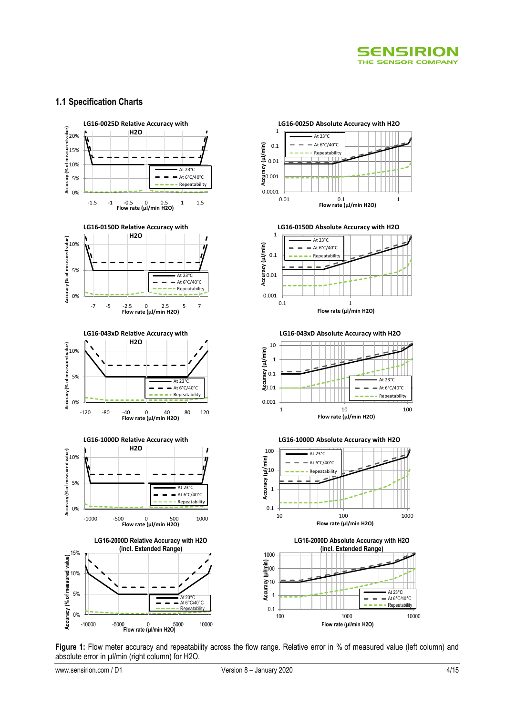

#### **1.1 Specification Charts**



Figure 1: Flow meter accuracy and repeatability across the flow range. Relative error in % of measured value (left column) and absolute error in µl/min (right column) for H2O.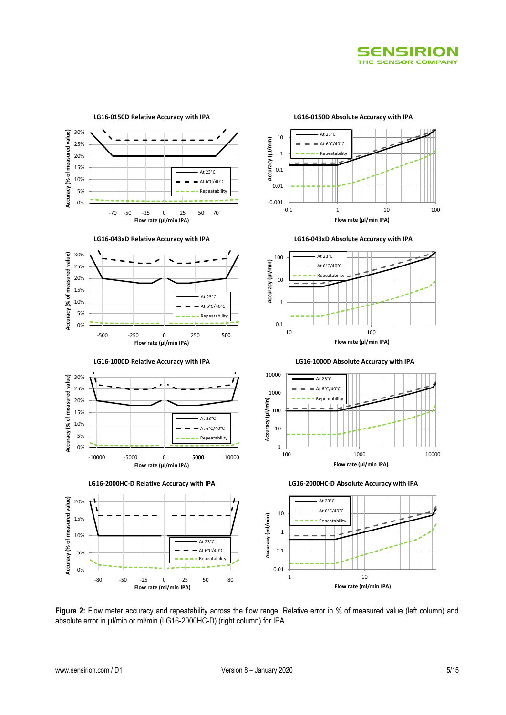



**Figure 2:** Flow meter accuracy and repeatability across the flow range. Relative error in % of measured value (left column) and absolute error in µl/min or ml/min (LG16-2000HC-D) (right column) for IPA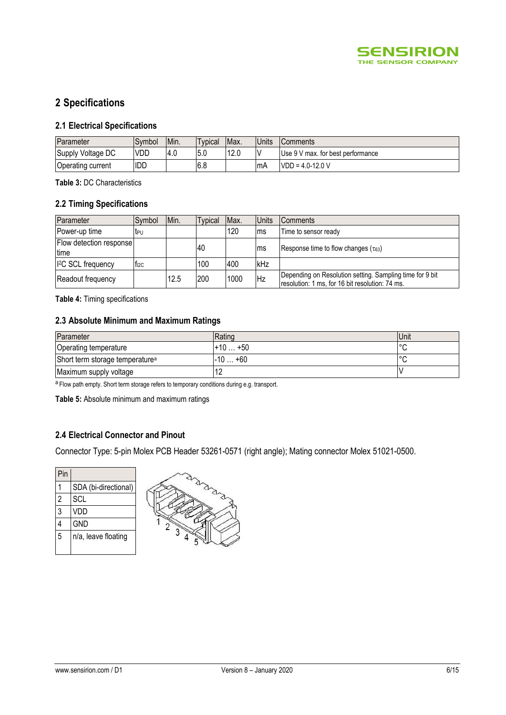

# **2 Specifications**

### **2.1 Electrical Specifications**

| Parameter         | Symbol     | IMin. | <b>Typical</b> | Max. | Units | <b>Comments</b>                   |
|-------------------|------------|-------|----------------|------|-------|-----------------------------------|
| Supply Voltage DC | <b>VDD</b> | 4.0   | 5.0            | 12.0 |       | Use 9 V max. for best performance |
| Operating current | idd        |       | 6.8            |      | -mA   | $VDD = 4.0-12.0 V$                |

**Table 3:** DC Characteristics

### **2.2 Timing Specifications**

| Parameter                               | Symbol           | Min. | <b>Typical</b> | Max. | <b>Units</b> | <b>Comments</b>                                                                                             |
|-----------------------------------------|------------------|------|----------------|------|--------------|-------------------------------------------------------------------------------------------------------------|
| Power-up time                           | t <sub>PU</sub>  |      |                | 120  | ms           | Time to sensor ready                                                                                        |
| Flow detection response<br><b>Itime</b> |                  |      | 40             |      | ms           | Response time to flow changes ( $\tau$ <sub>63</sub> )                                                      |
| I <sup>2</sup> C SCL frequency          | T <sub>12C</sub> |      | 100            | 400  | <b>IkHz</b>  |                                                                                                             |
| Readout frequency                       |                  | 12.5 | 200            | 1000 | <b>Hz</b>    | Depending on Resolution setting. Sampling time for 9 bit<br>resolution: 1 ms, for 16 bit resolution: 74 ms. |

**Table 4:** Timing specifications

#### **2.3 Absolute Minimum and Maximum Ratings**

| Parameter                                   | Rating         | Unit    |
|---------------------------------------------|----------------|---------|
| Operating temperature                       | $+10$<br>$+50$ | $\circ$ |
| Short term storage temperature <sup>a</sup> | $+60$<br>-10   | $\circ$ |
| Maximum supply voltage                      | ' 4            |         |

a Flow path empty. Short term storage refers to temporary conditions during e.g. transport.

**Table 5:** Absolute minimum and maximum ratings

### **2.4 Electrical Connector and Pinout**

Connector Type: 5-pin Molex PCB Header 53261-0571 (right angle); Mating connector Molex 51021-0500.

| Pin |                      |  |
|-----|----------------------|--|
|     | SDA (bi-directional) |  |
| 2   | SCL                  |  |
| 3   | VDD                  |  |
|     | <b>GND</b>           |  |
| 5   | n/a, leave floating  |  |
|     |                      |  |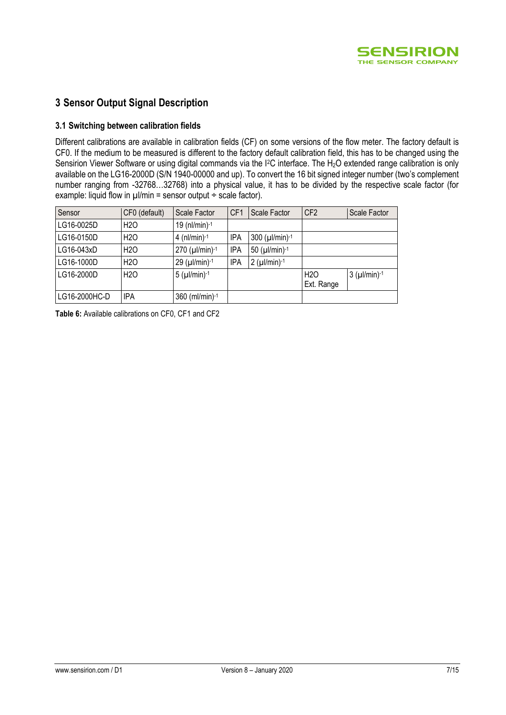

### **3 Sensor Output Signal Description**

#### **3.1 Switching between calibration fields**

Different calibrations are available in calibration fields (CF) on some versions of the flow meter. The factory default is CF0. If the medium to be measured is different to the factory default calibration field, this has to be changed using the Sensirion Viewer Software or using digital commands via the I<sup>2</sup>C interface. The H<sub>2</sub>O extended range calibration is only available on the LG16-2000D (S/N 1940-00000 and up). To convert the 16 bit signed integer number (two's complement number ranging from -32768…32768) into a physical value, it has to be divided by the respective scale factor (for example: liquid flow in  $\mu$ l/min = sensor output  $\div$  scale factor).

| Sensor        | CF0 (default)   | Scale Factor           | CF <sub>1</sub> | Scale Factor                       | CF <sub>2</sub>                | Scale Factor    |
|---------------|-----------------|------------------------|-----------------|------------------------------------|--------------------------------|-----------------|
| LG16-0025D    | H <sub>20</sub> | 19 ( $nl/min$ ) $-1$   |                 |                                    |                                |                 |
| LG16-0150D    | H <sub>20</sub> | 4 ( $nl/min$ ) $-1$    | <b>IPA</b>      | $300$ ( $\mu$ l/min) <sup>-1</sup> |                                |                 |
| LG16-043xD    | H <sub>20</sub> | $270$ ( $\mu$ l/min)-1 | IPA             | 50 ( $\mu$ I/min)-1                |                                |                 |
| LG16-1000D    | H <sub>20</sub> | $29$ ( $\mu$ l/min)-1  | <b>IPA</b>      | $2 (µ!/min)^{-1}$                  |                                |                 |
| LG16-2000D    | H <sub>20</sub> | $5 (µ l/min)-1$        |                 |                                    | H <sub>2</sub> O<br>Ext. Range | $3 (µ l/min)-1$ |
| LG16-2000HC-D | IPA             | 360 (ml/min)-1         |                 |                                    |                                |                 |

**Table 6:** Available calibrations on CF0, CF1 and CF2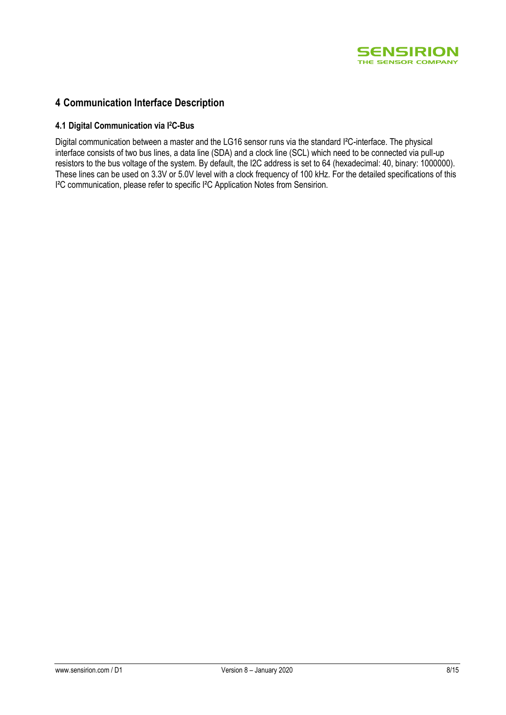

## **4 Communication Interface Description**

#### **4.1 Digital Communication via I2C-Bus**

Digital communication between a master and the LG16 sensor runs via the standard I²C-interface. The physical interface consists of two bus lines, a data line (SDA) and a clock line (SCL) which need to be connected via pull-up resistors to the bus voltage of the system. By default, the I2C address is set to 64 (hexadecimal: 40, binary: 1000000). These lines can be used on 3.3V or 5.0V level with a clock frequency of 100 kHz. For the detailed specifications of this I²C communication, please refer to specific I²C Application Notes from Sensirion.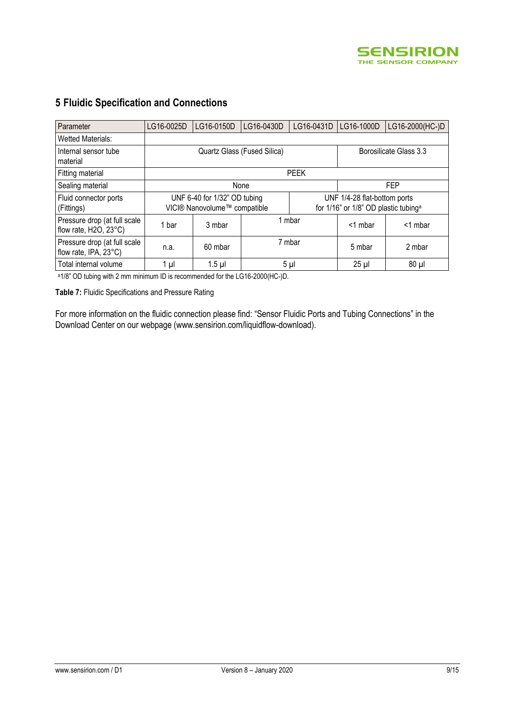

| Parameter                                             | LG16-0025D | LG16-0150D                                                   | LG16-0430D | LG16-0431D | LG16-1000D                                                                       | LG16-2000(HC-)D |  |  |  |
|-------------------------------------------------------|------------|--------------------------------------------------------------|------------|------------|----------------------------------------------------------------------------------|-----------------|--|--|--|
| Wetted Materials:                                     |            |                                                              |            |            |                                                                                  |                 |  |  |  |
| Internal sensor tube<br>material                      |            | Quartz Glass (Fused Silica)<br>Borosilicate Glass 3.3        |            |            |                                                                                  |                 |  |  |  |
| Fitting material                                      |            | <b>PEEK</b>                                                  |            |            |                                                                                  |                 |  |  |  |
| Sealing material                                      |            |                                                              | None       |            | <b>FEP</b>                                                                       |                 |  |  |  |
| Fluid connector ports<br>(Fittings)                   |            | UNF 6-40 for 1/32" OD tubing<br>VICI® Nanovolume™ compatible |            |            | UNF 1/4-28 flat-bottom ports<br>for 1/16" or 1/8" OD plastic tubing <sup>a</sup> |                 |  |  |  |
| Pressure drop (at full scale<br>flow rate, H2O, 23°C) | bar        | 3 mbar                                                       |            | 1 mbar     |                                                                                  | $<$ 1 mbar      |  |  |  |
| Pressure drop (at full scale<br>flow rate, IPA, 23°C) | n.a.       | 60 mbar                                                      | 7 mbar     |            | 5 mbar                                                                           | 2 mbar          |  |  |  |
| Total internal volume                                 | 1 µl       | $1.5$ µl                                                     |            | $5 \mu$    | $25 \mu$                                                                         | $80 \mu$        |  |  |  |

# **5 Fluidic Specification and Connections**

<sup>a</sup>1/8" OD tubing with 2 mm minimum ID is recommended for the LG16-2000(HC-)D.

**Table 7:** Fluidic Specifications and Pressure Rating

For more information on the fluidic connection please find: "Sensor Fluidic Ports and Tubing Connections" in the Download Center on our webpage [\(www.sensirion.com/liquidflow-download\)](http://www.sensirion.com/liquidflow-download).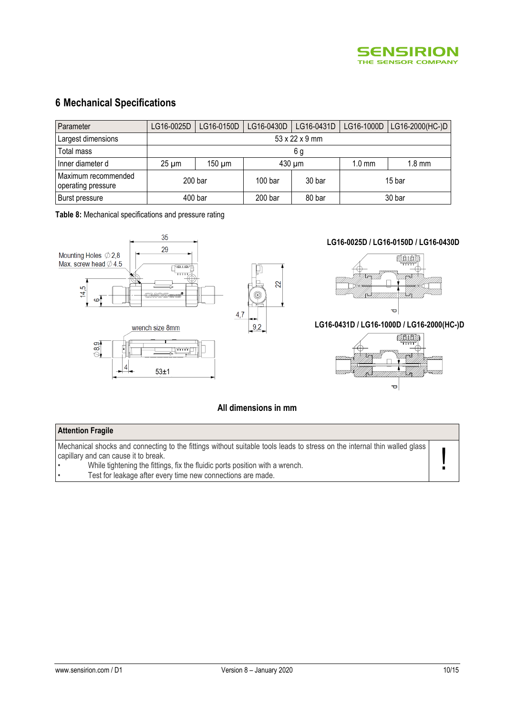

# **6 Mechanical Specifications**

| Parameter                                 | LG16-0025D         | LG16-0150D  | LG16-0430D         | LG16-0431D |        | LG16-1000D   LG16-2000(HC-)D |  |  |  |
|-------------------------------------------|--------------------|-------------|--------------------|------------|--------|------------------------------|--|--|--|
| Largest dimensions                        | 53 x 22 x 9 mm     |             |                    |            |        |                              |  |  |  |
| Total mass                                |                    | 6 g         |                    |            |        |                              |  |  |  |
| Inner diameter d                          | $25 \mu m$         | $150 \mu m$ |                    | 430 µm     |        | $1.8 \text{ mm}$             |  |  |  |
| Maximum recommended<br>operating pressure | 200 <sub>bar</sub> |             | 100 <sub>bar</sub> | 30 bar     | 15 bar |                              |  |  |  |
| Burst pressure                            | 400 bar            |             | 200 bar            | 80 bar     | 30 bar |                              |  |  |  |

**Table 8:** Mechanical specifications and pressure rating



#### **All dimensions in mm**

#### **Attention Fragile**

Mechanical shocks and connecting to the fittings without suitable tools leads to stress on the internal thin walled glass capillary and can cause it to break.

• While tightening the fittings, fix the fluidic ports position with a wrench.

Test for leakage after every time new connections are made.

!<br>!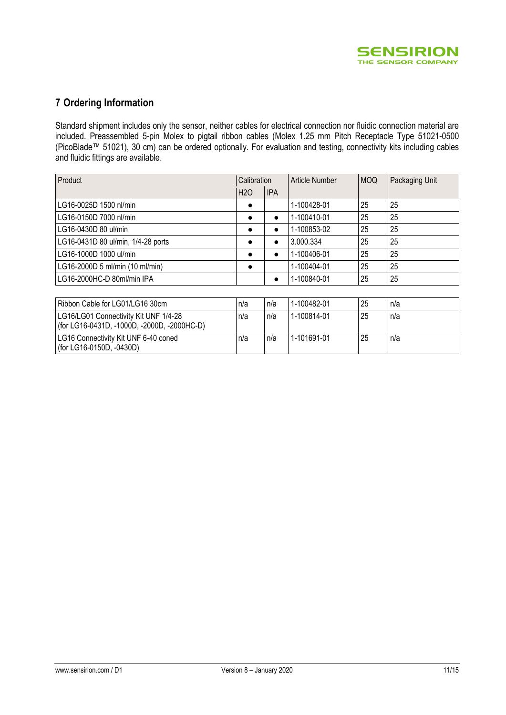

# **7 Ordering Information**

Standard shipment includes only the sensor, neither cables for electrical connection nor fluidic connection material are included. Preassembled 5-pin Molex to pigtail ribbon cables (Molex 1.25 mm Pitch Receptacle Type 51021-0500 (PicoBlade™ 51021), 30 cm) can be ordered optionally. For evaluation and testing, connectivity kits including cables and fluidic fittings are available.

| Product                            | Calibration     |            | Article Number | <b>MOQ</b> | Packaging Unit |
|------------------------------------|-----------------|------------|----------------|------------|----------------|
|                                    | H <sub>20</sub> | <b>IPA</b> |                |            |                |
| LG16-0025D 1500 nl/min             |                 |            | 1-100428-01    | 25         | 25             |
| LG16-0150D 7000 nl/min             | $\bullet$       | $\bullet$  | 1-100410-01    | 25         | 25             |
| LG16-0430D 80 ul/min               | $\bullet$       | $\bullet$  | 1-100853-02    | 25         | 25             |
| LG16-0431D 80 ul/min, 1/4-28 ports |                 | $\bullet$  | 3.000.334      | 25         | 25             |
| LG16-1000D 1000 ul/min             |                 | $\bullet$  | 1-100406-01    | 25         | 25             |
| LG16-2000D 5 ml/min (10 ml/min)    |                 |            | 1-100404-01    | 25         | 25             |
| LG16-2000HC-D 80ml/min IPA         |                 | $\bullet$  | 1-100840-01    | 25         | 25             |

| Ribbon Cable for LG01/LG16 30cm                                                      | n/a | n/a | 1-100482-01 | 25 | n/a |
|--------------------------------------------------------------------------------------|-----|-----|-------------|----|-----|
| LG16/LG01 Connectivity Kit UNF 1/4-28<br>(for LG16-0431D, -1000D, -2000D, -2000HC-D) | n/a | n/a | 1-100814-01 | 25 | n/a |
| LG16 Connectivity Kit UNF 6-40 coned<br>(for LG16-0150D, -0430D)                     | n/a | n/a | 1-101691-01 | 25 | n/a |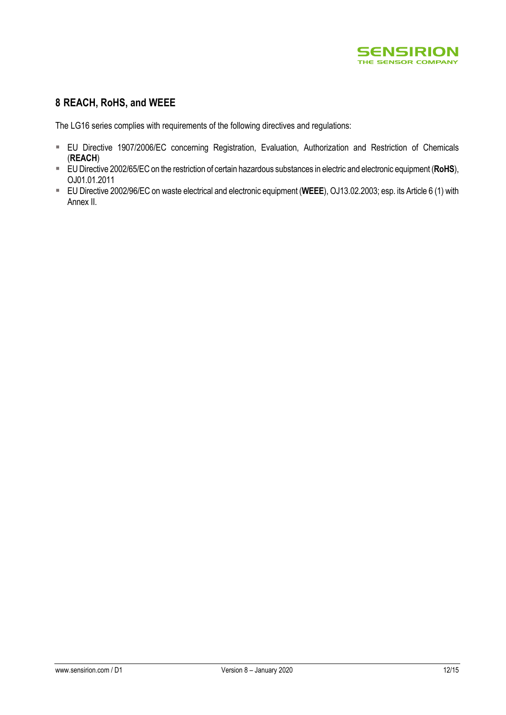

## **8 REACH, RoHS, and WEEE**

The LG16 series complies with requirements of the following directives and regulations:

- EU Directive 1907/2006/EC concerning Registration, Evaluation, Authorization and Restriction of Chemicals (**REACH**)
- EU Directive 2002/65/EC on the restriction of certain hazardous substances in electric and electronic equipment (**RoHS**), OJ01.01.2011
- EU Directive 2002/96/EC on waste electrical and electronic equipment (**WEEE**), OJ13.02.2003; esp. its Article 6 (1) with Annex II.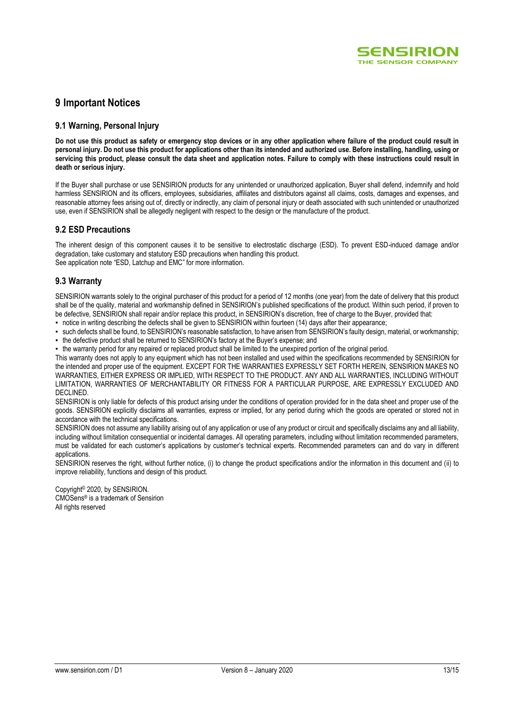

### **9 Important Notices**

#### **9.1 Warning, Personal Injury**

**Do not use this product as safety or emergency stop devices or in any other application where failure of the product could result in personal injury. Do not use this product for applications other than its intended and authorized use. Before installing, handling, using or servicing this product, please consult the data sheet and application notes. Failure to comply with these instructions could result in death or serious injury.**

If the Buyer shall purchase or use SENSIRION products for any unintended or unauthorized application, Buyer shall defend, indemnify and hold harmless SENSIRION and its officers, employees, subsidiaries, affiliates and distributors against all claims, costs, damages and expenses, and reasonable attorney fees arising out of, directly or indirectly, any claim of personal injury or death associated with such unintended or unauthorized use, even if SENSIRION shall be allegedly negligent with respect to the design or the manufacture of the product.

#### **9.2 ESD Precautions**

The inherent design of this component causes it to be sensitive to electrostatic discharge (ESD). To prevent ESD-induced damage and/or degradation, take customary and statutory ESD precautions when handling this product. See application note "ESD, Latchup and EMC" for more information.

#### **9.3 Warranty**

SENSIRION warrants solely to the original purchaser of this product for a period of 12 months (one year) from the date of delivery that this product shall be of the quality, material and workmanship defined in SENSIRION's published specifications of the product. Within such period, if proven to be defective, SENSIRION shall repair and/or replace this product, in SENSIRION's discretion, free of charge to the Buyer, provided that:

- notice in writing describing the defects shall be given to SENSIRION within fourteen (14) days after their appearance;
- such defects shall be found, to SENSIRION's reasonable satisfaction, to have arisen from SENSIRION's faulty design, material, or workmanship;
- the defective product shall be returned to SENSIRION's factory at the Buyer's expense; and
- the warranty period for any repaired or replaced product shall be limited to the unexpired portion of the original period.

This warranty does not apply to any equipment which has not been installed and used within the specifications recommended by SENSIRION for the intended and proper use of the equipment. EXCEPT FOR THE WARRANTIES EXPRESSLY SET FORTH HEREIN, SENSIRION MAKES NO WARRANTIES, EITHER EXPRESS OR IMPLIED, WITH RESPECT TO THE PRODUCT. ANY AND ALL WARRANTIES, INCLUDING WITHOUT LIMITATION, WARRANTIES OF MERCHANTABILITY OR FITNESS FOR A PARTICULAR PURPOSE, ARE EXPRESSLY EXCLUDED AND DECLINED.

SENSIRION is only liable for defects of this product arising under the conditions of operation provided for in the data sheet and proper use of the goods. SENSIRION explicitly disclaims all warranties, express or implied, for any period during which the goods are operated or stored not in accordance with the technical specifications.

SENSIRION does not assume any liability arising out of any application or use of any product or circuit and specifically disclaims any and all liability, including without limitation consequential or incidental damages. All operating parameters, including without limitation recommended parameters, must be validated for each customer's applications by customer's technical experts. Recommended parameters can and do vary in different applications.

SENSIRION reserves the right, without further notice, (i) to change the product specifications and/or the information in this document and (ii) to improve reliability, functions and design of this product.

Copyright© 2020, by SENSIRION. CMOSens® is a trademark of Sensirion All rights reserved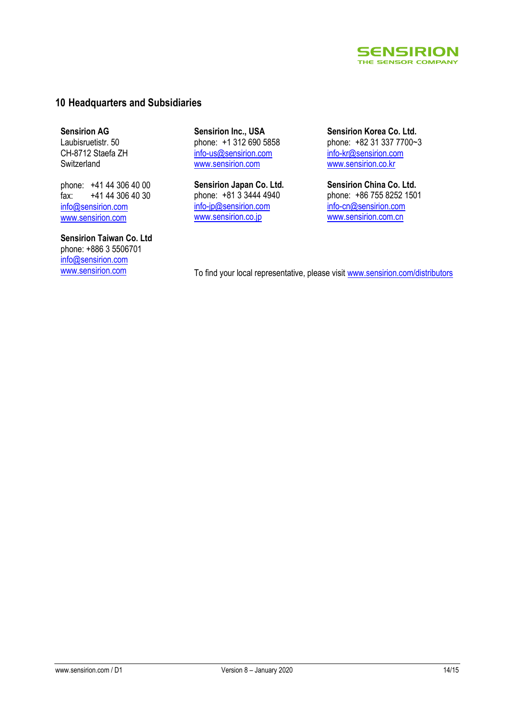

### **10 Headquarters and Subsidiaries**

**Sensirion AG** Laubisruetistr. 50 CH-8712 Staefa ZH Switzerland

phone: +41 44 306 40 00 fax: +41 44 306 40 30 info@sensirion.com www.sensirion.com

**Sensirion Taiwan Co. Ltd** phone: +886 3 5506701 info@sensirion.com

**Sensirion Inc., USA** phone: +1 312 690 5858 info-us@sensirion.com www.sensirion.com

**Sensirion Japan Co. Ltd.** phone: +81 3 3444 4940 info-jp@sensirion.com www.sensirion.co.jp

**Sensirion Korea Co. Ltd.** phone: +82 31 337 7700~3 info-kr@sensirion.com www.sensirion.co.kr

**Sensirion China Co. Ltd.** phone: +86 755 8252 1501 info-cn@sensirion.com www.sensirion.com.cn

www.sensirion.com To find your local representative, please visit www.sensirion.com/distributors